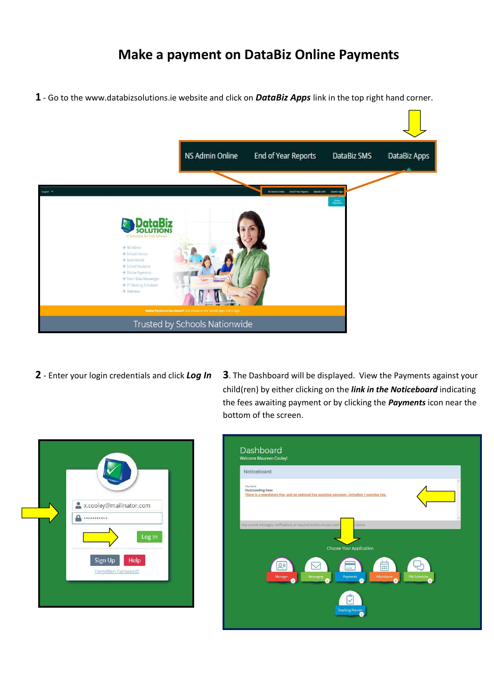## **Make a payment on DataBiz Online Payments**

**1** - Go to the www.databizsolutions.ie website and click on *DataBiz Apps* link in the top right hand corner.



- 
- **2** Enter your login credentials and click *Log In* **3**. The Dashboard will be displayed. View the Payments against your child(ren) by either clicking on the *link in the Noticeboard* indicating the fees awaiting payment or by clicking the *Payments* icon near the bottom of the screen.



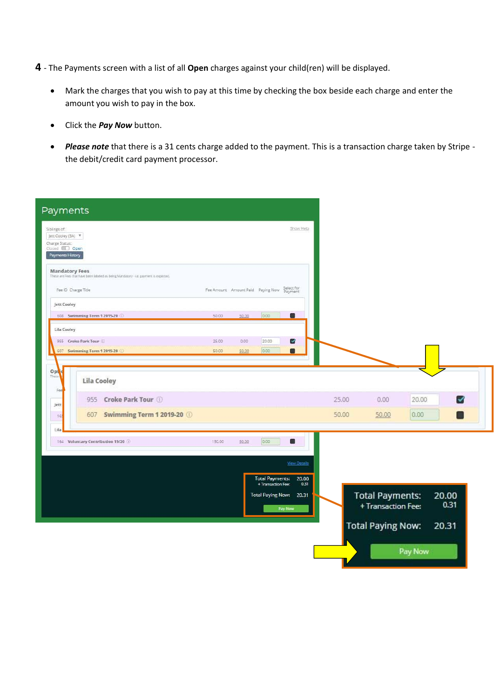- **4**  The Payments screen with a list of all **Open** charges against your child(ren) will be displayed.
	- Mark the charges that you wish to pay at this time by checking the box beside each charge and enter the amount you wish to pay in the box.
	- Click the *Pay Now* button.
	- *Please note* that there is a 31 cents charge added to the payment. This is a transaction charge taken by Stripe the debit/credit card payment processor.

| Payments                                                                                                                             |                |                                              |                                              |                                                                            |                |                                                                          |               |                        |  |
|--------------------------------------------------------------------------------------------------------------------------------------|----------------|----------------------------------------------|----------------------------------------------|----------------------------------------------------------------------------|----------------|--------------------------------------------------------------------------|---------------|------------------------|--|
| Siblings of:<br>Jett Cooley (3A) ▼<br>Charge Status:<br>Closed <b>D</b> Open<br>Payments History                                     |                |                                              |                                              | Show Help                                                                  |                |                                                                          |               |                        |  |
| <b>Mandatory Fees</b><br>These are Fees that have been labeled as being Mandatory - i.e. payment is expected.<br>Fee ID Charge Title |                | Fee Amount Amount Paid Paying Now Select for |                                              |                                                                            |                |                                                                          |               |                        |  |
| Jett Cooley<br>608 Swimming Term 1 2019-20                                                                                           | 50.00          | 50.00                                        | 0.00                                         | $\blacksquare$                                                             |                |                                                                          |               |                        |  |
| Lila Cooley<br>955 Croke Park Tour<br>607 Swimming Term 1 2019-20 0                                                                  | 25.00<br>50.00 | 0.00<br>50.00                                | 20.00<br>0.00                                | ⊻<br>0                                                                     |                |                                                                          |               |                        |  |
| Optic<br>These<br>Lila Cooley<br>Fee<br>Croke Park Tour<br>955<br>Jett<br>Swimming Term 1 2019-20<br>607<br>165                      |                |                                              |                                              |                                                                            | 25.00<br>50.00 | 0.00<br>50.00                                                            | 20.00<br>0.00 | М                      |  |
| Lila<br>164 Voluntary Contribution 19/20                                                                                             | 150.00         | 50.00                                        | 0.00                                         | $\blacksquare$                                                             |                |                                                                          |               |                        |  |
|                                                                                                                                      |                |                                              | <b>Total Payments:</b><br>+ Transaction Fee: | <b>View Details</b><br>20.00<br>0.31<br>Total Paying Now: 20.31<br>Pay Now |                | <b>Total Payments:</b><br>+ Transaction Fee:<br><b>Total Paying Now:</b> | Pay Now       | 20.00<br>0.31<br>20.31 |  |